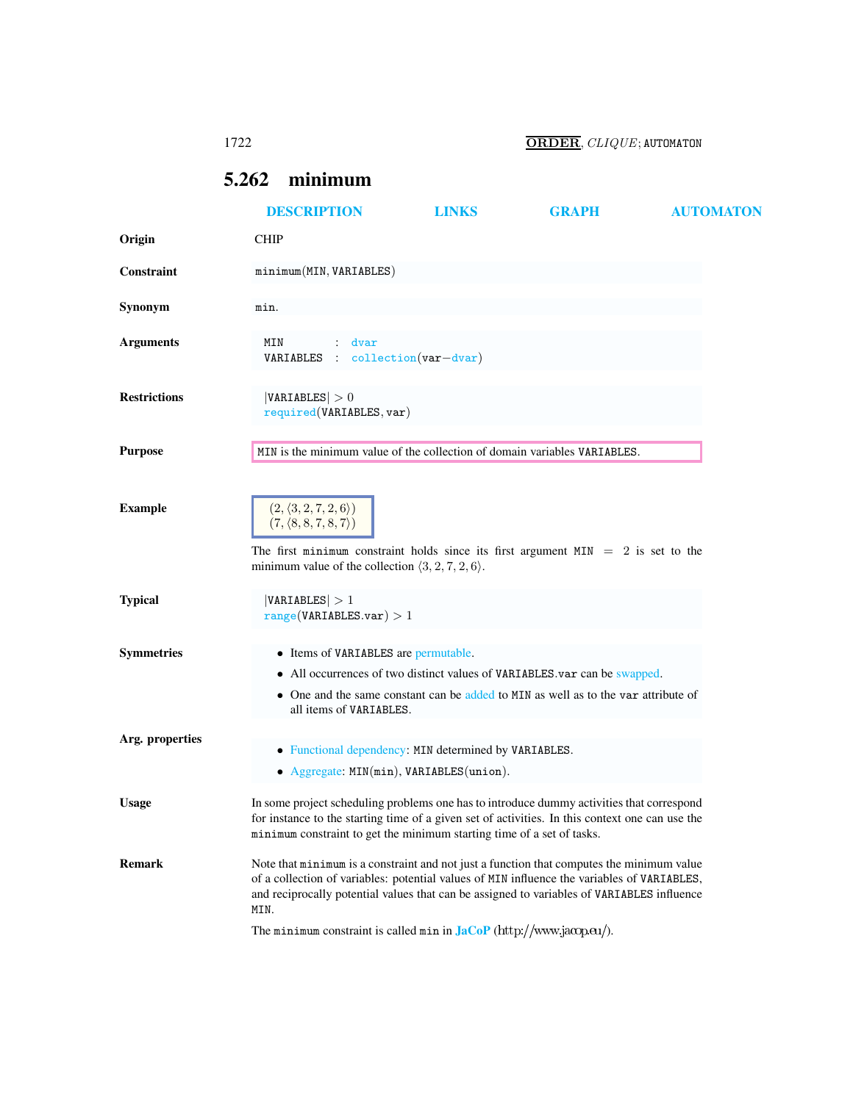1722 ORDER, CLIQUE; AUTOMATON

# <span id="page-0-0"></span>5.262 minimum

|                     | <b>DESCRIPTION</b>                                                                                                                                                                                                                                                                             | <b>LINKS</b> | <b>GRAPH</b>                                                                                                                                                    | <b>AUTOMATON</b> |
|---------------------|------------------------------------------------------------------------------------------------------------------------------------------------------------------------------------------------------------------------------------------------------------------------------------------------|--------------|-----------------------------------------------------------------------------------------------------------------------------------------------------------------|------------------|
| Origin              | <b>CHIP</b>                                                                                                                                                                                                                                                                                    |              |                                                                                                                                                                 |                  |
| Constraint          | minimum(MIN, VARIABLES)                                                                                                                                                                                                                                                                        |              |                                                                                                                                                                 |                  |
| Synonym             | min.                                                                                                                                                                                                                                                                                           |              |                                                                                                                                                                 |                  |
| <b>Arguments</b>    | MIN<br>dvar<br>VARIABLES : collection(var-dvar)                                                                                                                                                                                                                                                |              |                                                                                                                                                                 |                  |
| <b>Restrictions</b> | VARIABLES  > 0<br>required(VARIABLES, var)                                                                                                                                                                                                                                                     |              |                                                                                                                                                                 |                  |
| <b>Purpose</b>      | MIN is the minimum value of the collection of domain variables VARIABLES.                                                                                                                                                                                                                      |              |                                                                                                                                                                 |                  |
| <b>Example</b>      | $(2,\langle 3,2,7,2,6\rangle)$<br>$(7, \langle 8, 8, 7, 8, 7 \rangle)$<br>The first minimum constraint holds since its first argument $MIN = 2$ is set to the                                                                                                                                  |              |                                                                                                                                                                 |                  |
|                     | minimum value of the collection $\langle 3, 2, 7, 2, 6 \rangle$ .                                                                                                                                                                                                                              |              |                                                                                                                                                                 |                  |
| <b>Typical</b>      | VARIABLES  > 1<br>range(VARIABLES.var) > 1                                                                                                                                                                                                                                                     |              |                                                                                                                                                                 |                  |
| <b>Symmetries</b>   | • Items of VARIABLES are permutable.<br>all items of VARIABLES.                                                                                                                                                                                                                                |              | • All occurrences of two distinct values of VARIABLES.var can be swapped.<br>• One and the same constant can be added to MIN as well as to the var attribute of |                  |
| Arg. properties     | • Functional dependency: MIN determined by VARIABLES.<br>• Aggregate: MIN(min), VARIABLES(union).                                                                                                                                                                                              |              |                                                                                                                                                                 |                  |
| <b>Usage</b>        | In some project scheduling problems one has to introduce dummy activities that correspond<br>for instance to the starting time of a given set of activities. In this context one can use the<br>minimum constraint to get the minimum starting time of a set of tasks.                         |              |                                                                                                                                                                 |                  |
| <b>Remark</b>       | Note that minimum is a constraint and not just a function that computes the minimum value<br>of a collection of variables: potential values of MIN influence the variables of VARIABLES,<br>and reciprocally potential values that can be assigned to variables of VARIABLES influence<br>MIN. |              |                                                                                                                                                                 |                  |
|                     | The minimum constraint is called min in $\text{Jac}_P(\text{http://www.jacop.eu/}).$                                                                                                                                                                                                           |              |                                                                                                                                                                 |                  |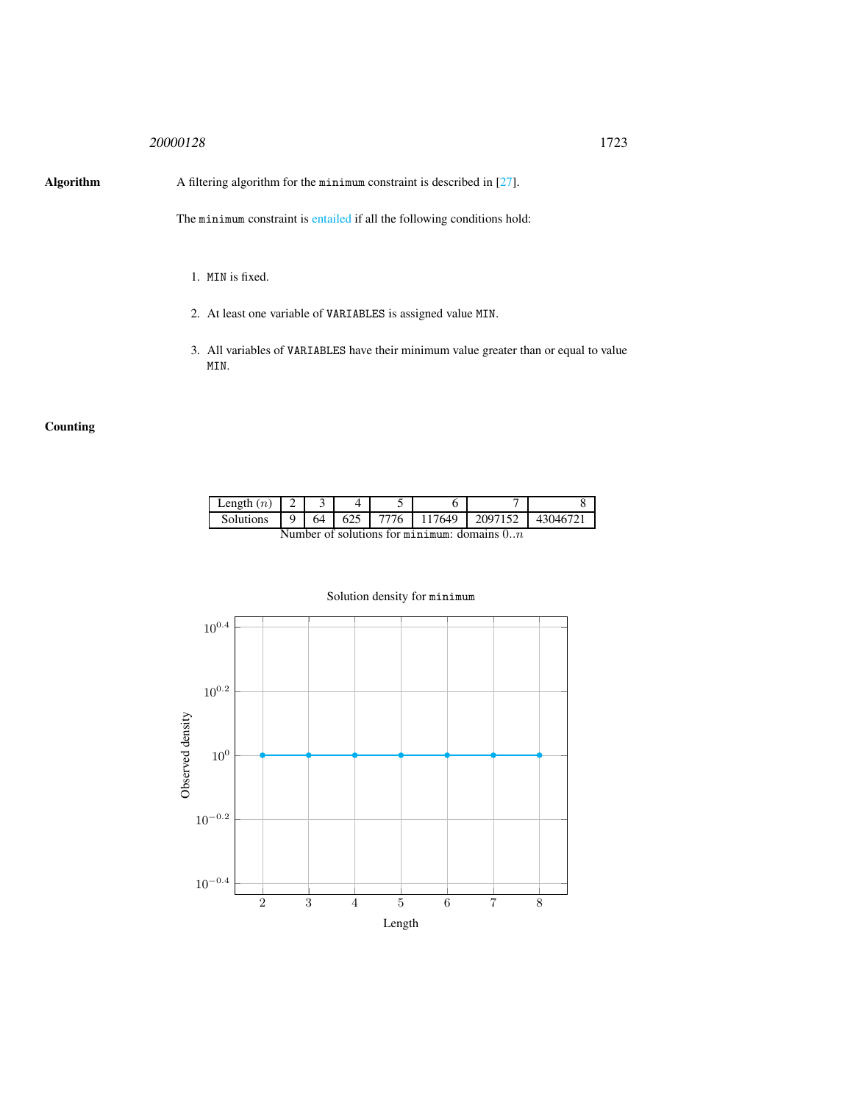## <sup>20000128</sup> 1723

Algorithm A filtering algorithm for the minimum constraint is described in [27].

The minimum constraint is entailed if all the following conditions hold:

- 1. MIN is fixed.
- 2. At least one variable of VARIABLES is assigned value MIN.
- 3. All variables of VARIABLES have their minimum value greater than or equal to value MIN.

## **Counting**

| Length $(n)$                                              |  |    |  |      |        |         |          |
|-----------------------------------------------------------|--|----|--|------|--------|---------|----------|
| Solutions                                                 |  | 64 |  | 7776 | 117649 | 2097152 | 43046721 |
| $N$ umbar of solutions for $\min$ in $\min$ domains $0$ m |  |    |  |      |        |         |          |

Number of solutions for minimum: domains  $0..n$ 



## Solution density for minimum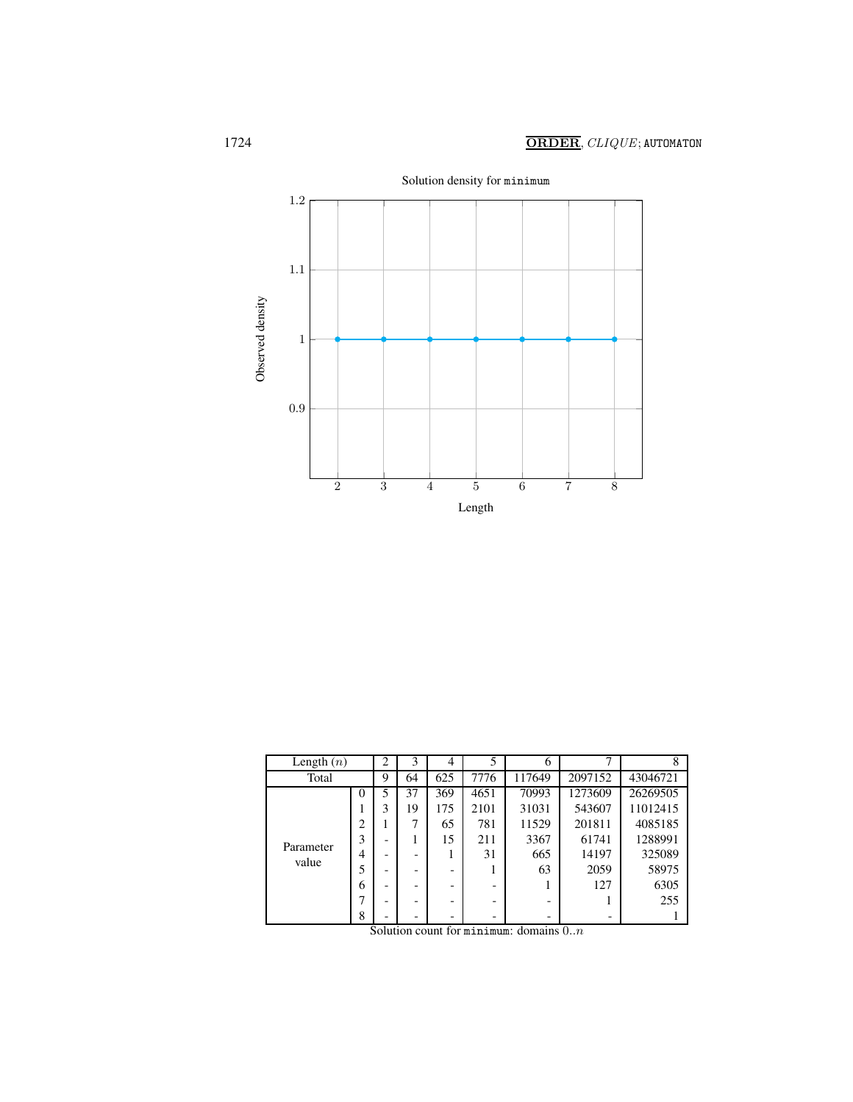

| Length $(n)$       |                | ◠                        | 3  | 4   | 5    | 6      |         | 8        |
|--------------------|----------------|--------------------------|----|-----|------|--------|---------|----------|
| Total              |                | 9                        | 64 | 625 | 7776 | 117649 | 2097152 | 43046721 |
| Parameter<br>value | $\theta$       | 5                        | 37 | 369 | 4651 | 70993  | 1273609 | 26269505 |
|                    |                | 3                        | 19 | 175 | 2101 | 31031  | 543607  | 11012415 |
|                    | $\overline{c}$ |                          | 7  | 65  | 781  | 11529  | 201811  | 4085185  |
|                    | 3              |                          |    | 15  | 211  | 3367   | 61741   | 1288991  |
|                    | 4              | $\overline{\phantom{0}}$ |    |     | 31   | 665    | 14197   | 325089   |
|                    |                |                          |    | -   |      | 63     | 2059    | 58975    |
|                    | 6              |                          |    |     |      |        | 127     | 6305     |
|                    |                |                          |    | -   |      | -      |         | 255      |
|                    | 8              |                          |    | -   |      | -      |         |          |

Solution count for minimum: domains  $0..n$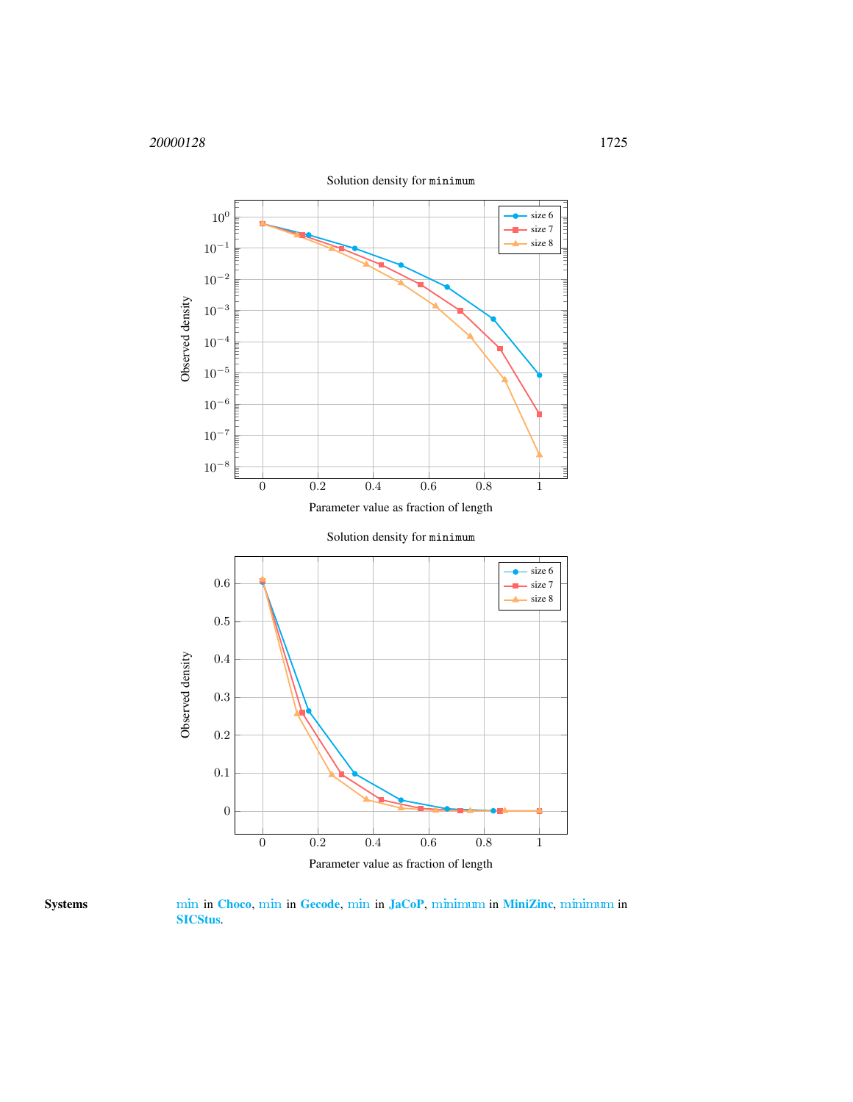



Systems [min](http://www.emn.fr/z-info/choco-solver/tex/documentation/choco-doc.pdf) in [Choco](http://choco.emn.fr/), [min](http://www.gecode.org/doc/3.7.0/reference/group__TaskModelIntArith.html) in [Gecode](http://www.gecode.org/), [min](http://jacopapi.osolpro.com/JaCoP/constraints/Min.html) in [JaCoP](http://www.jacop.eu/), [minimum](http://www.g12.cs.mu.oz.au/minizinc/downloads/doc-1.4/mzn-globals.html#minimum) in [MiniZinc](http://www.g12.cs.mu.oz.au/minizinc/), [minimum](http://www.sics.se/sicstus/docs/latest4/html/sicstus.html/Arithmetic-Constraints.html) in [SICStus](http://www.sics.se/sicstus/).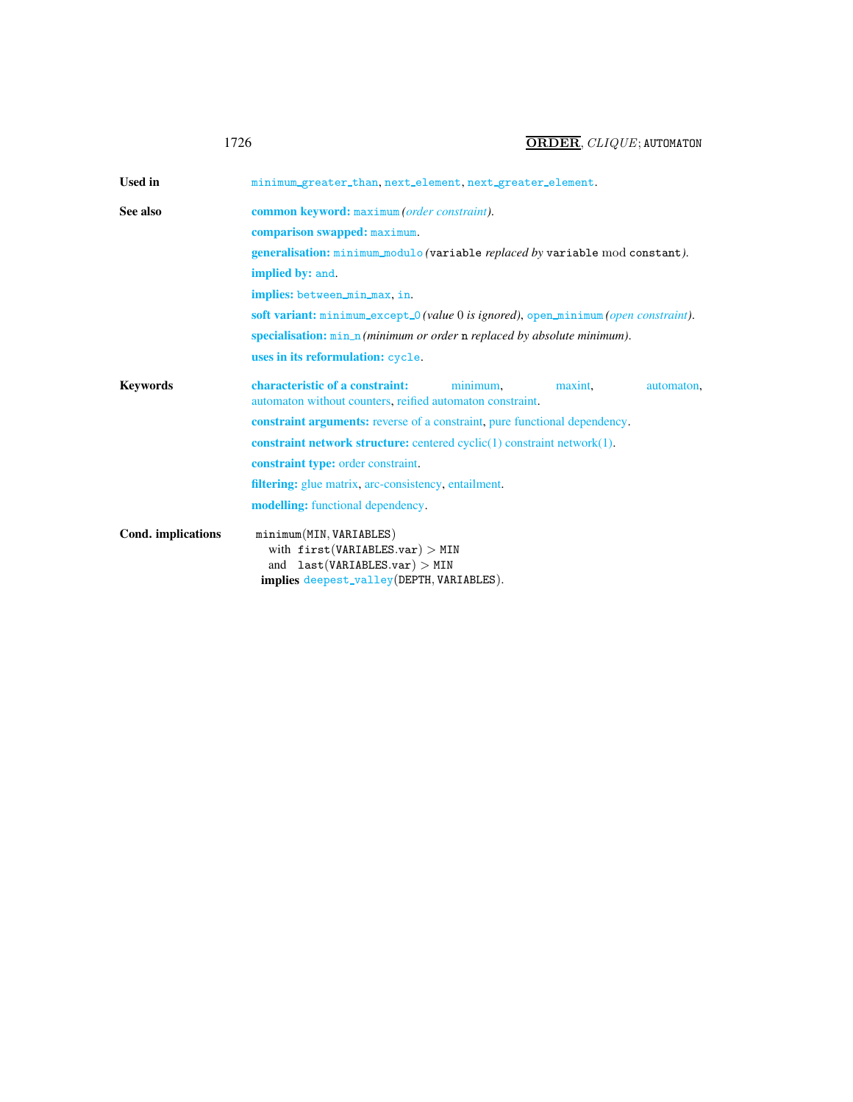<span id="page-4-0"></span>

| <b>Used in</b>     | minimum_greater_than, next_element, next_greater_element.                                                                                    |  |  |  |  |  |  |  |
|--------------------|----------------------------------------------------------------------------------------------------------------------------------------------|--|--|--|--|--|--|--|
| See also           | common keyword: maximum (order constraint).                                                                                                  |  |  |  |  |  |  |  |
|                    | comparison swapped: maximum.                                                                                                                 |  |  |  |  |  |  |  |
|                    | generalisation: minimum_modulo (variable replaced by variable mod constant).                                                                 |  |  |  |  |  |  |  |
|                    | implied by: and.                                                                                                                             |  |  |  |  |  |  |  |
|                    | implies: between_min_max.in.                                                                                                                 |  |  |  |  |  |  |  |
|                    | soft variant: minimum_except_0 (value 0 is ignored), open_minimum (open constraint).                                                         |  |  |  |  |  |  |  |
|                    | specialisation: min_n (minimum or order n replaced by absolute minimum).                                                                     |  |  |  |  |  |  |  |
|                    | uses in its reformulation: cycle.                                                                                                            |  |  |  |  |  |  |  |
| <b>Keywords</b>    | characteristic of a constraint:<br>minimum.<br>maxint.<br>automaton.<br>automaton without counters, reified automaton constraint.            |  |  |  |  |  |  |  |
|                    | constraint arguments: reverse of a constraint, pure functional dependency.                                                                   |  |  |  |  |  |  |  |
|                    | constraint network structure: centered $cyclic(1)$ constraint network $(1)$ .                                                                |  |  |  |  |  |  |  |
|                    | constraint type: order constraint.                                                                                                           |  |  |  |  |  |  |  |
|                    | <b>filtering:</b> glue matrix, arc-consistency, entailment.                                                                                  |  |  |  |  |  |  |  |
|                    | modelling: functional dependency.                                                                                                            |  |  |  |  |  |  |  |
| Cond. implications | minimum(MIN, VARIABLES)<br>with $first(VARIABLES.var) > MIN$<br>and $last(VARIABLES.var) > MIN$<br>implies deepest_valley(DEPTH, VARIABLES). |  |  |  |  |  |  |  |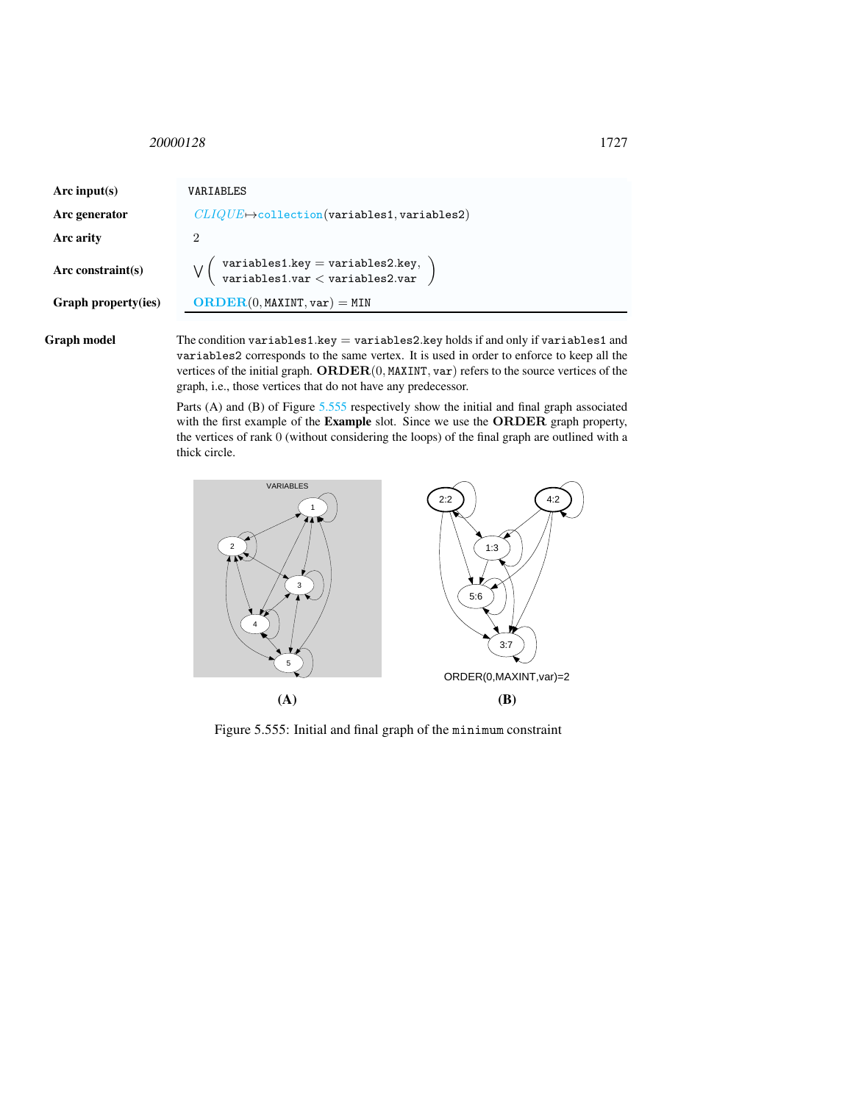<span id="page-5-0"></span><sup>20000128</sup> 1727

| Arc input(s)         | VARTABLES                                                           |
|----------------------|---------------------------------------------------------------------|
| Arc generator        | $CLIQUE \rightarrow$ collection(variables1, variables2)             |
| Arc arity            | 2                                                                   |
| Arc constraint $(s)$ | variables1.key = variables2.key,<br>variables1.var < variables2.var |
| Graph property(ies)  | $\mathbf{ORDER}(0, \texttt{MAXINT}, \texttt{var}) = \texttt{MIN}$   |
|                      |                                                                     |

Graph model The condition variables1.key = variables2.key holds if and only if variables1 and variables2 corresponds to the same vertex. It is used in order to enforce to keep all the vertices of the initial graph. ORDER(0, MAXINT, var) refers to the source vertices of the graph, i.e., those vertices that do not have any predecessor.

> Parts (A) and (B) of Figure [5.555](#page-5-1) respectively show the initial and final graph associated with the first example of the **Example** slot. Since we use the **ORDER** graph property, the vertices of rank 0 (without considering the loops) of the final graph are outlined with a thick circle.



<span id="page-5-1"></span>Figure 5.555: Initial and final graph of the minimum constraint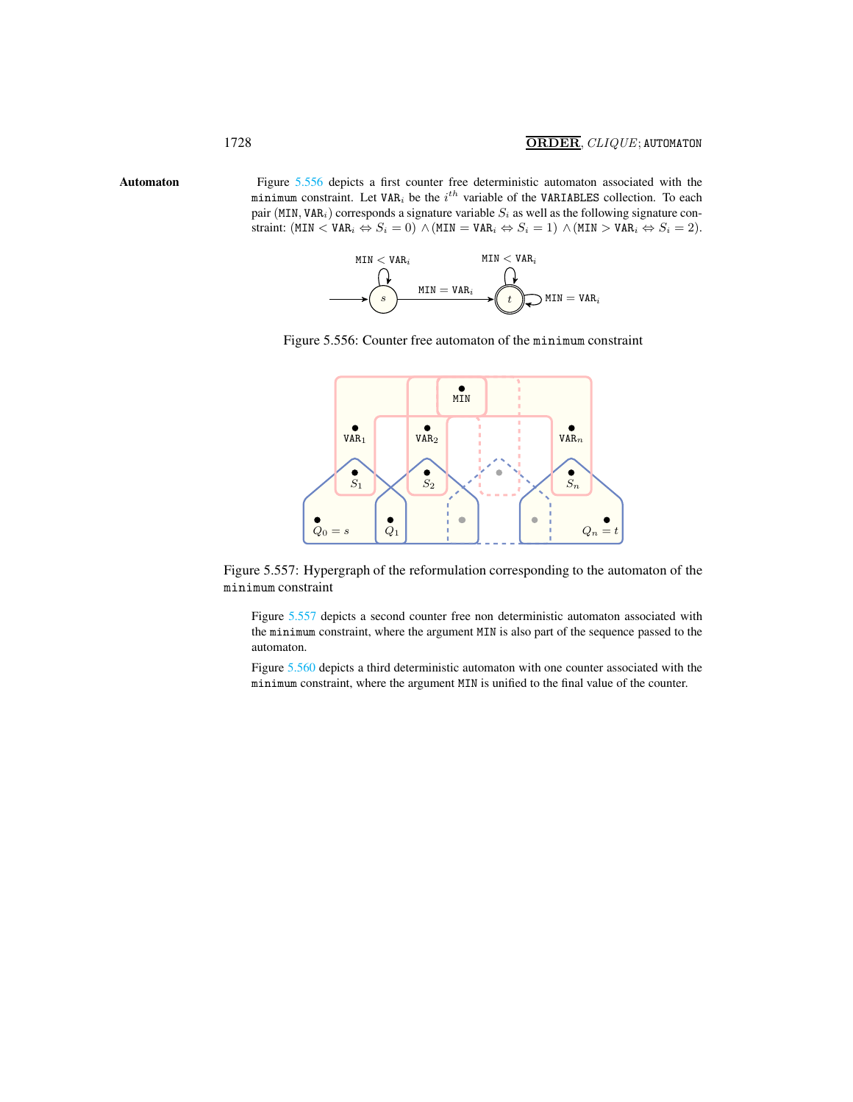Automaton Figure [5.556](#page-6-1) depicts a first counter free deterministic automaton associated with the minimum constraint. Let VAR<sub>i</sub> be the  $i^{th}$  variable of the VARIABLES collection. To each pair (MIN, VAR<sub>i</sub>) corresponds a signature variable  $S_i$  as well as the following signature constraint:  $(MIN < VAR_i \Leftrightarrow S_i = 0) \wedge (MIN = VAR_i \Leftrightarrow S_i = 1) \wedge (MIN > VAR_i \Leftrightarrow S_i = 2)$ .

<span id="page-6-0"></span>



<span id="page-6-1"></span>

Figure 5.557: Hypergraph of the reformulation corresponding to the automaton of the minimum constraint

<span id="page-6-2"></span>Figure [5.557](#page-6-2) depicts a second counter free non deterministic automaton associated with the minimum constraint, where the argument MIN is also part of the sequence passed to the automaton.

Figure [5.560](#page-7-0) depicts a third deterministic automaton with one counter associated with the minimum constraint, where the argument MIN is unified to the final value of the counter.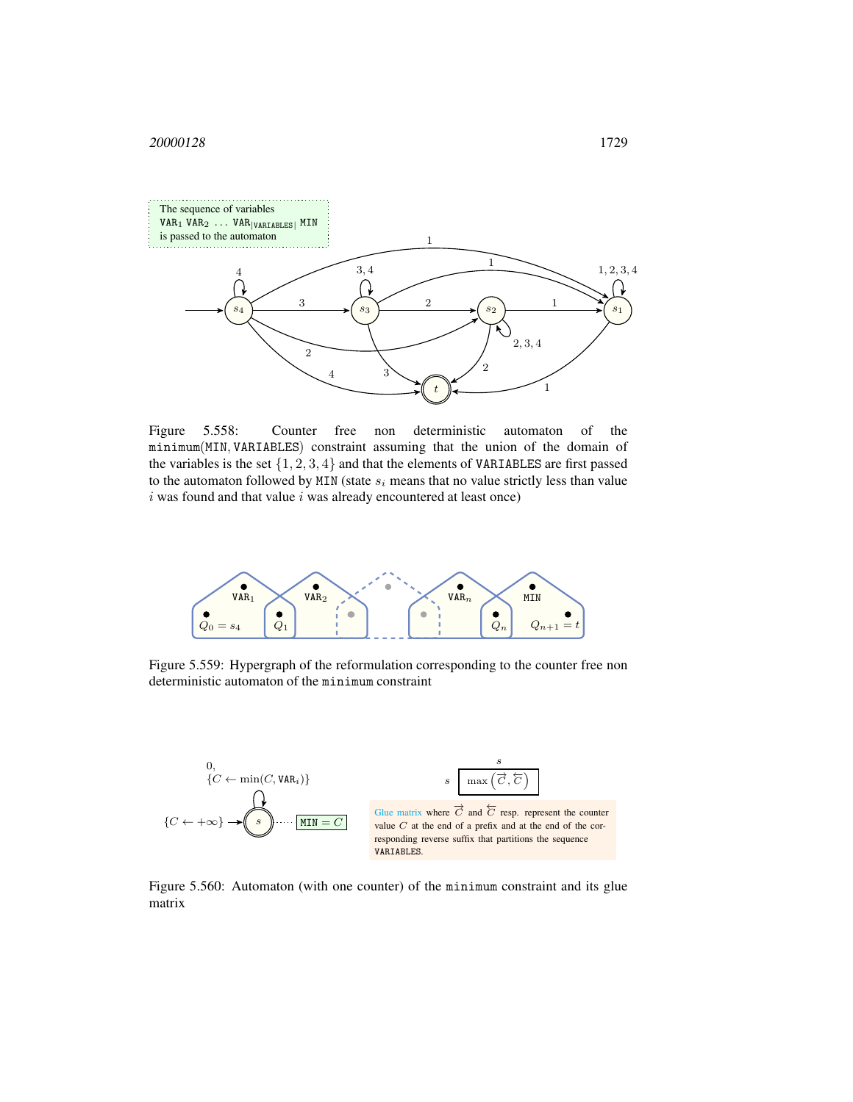

Figure 5.558: Counter free non deterministic automaton of the minimum(MIN, VARIABLES) constraint assuming that the union of the domain of the variables is the set  $\{1, 2, 3, 4\}$  and that the elements of VARIABLES are first passed to the automaton followed by MIN (state  $s_i$  means that no value strictly less than value  $i$  was found and that value  $i$  was already encountered at least once)



Figure 5.559: Hypergraph of the reformulation corresponding to the counter free non deterministic automaton of the minimum constraint



<span id="page-7-0"></span>Figure 5.560: Automaton (with one counter) of the minimum constraint and its glue matrix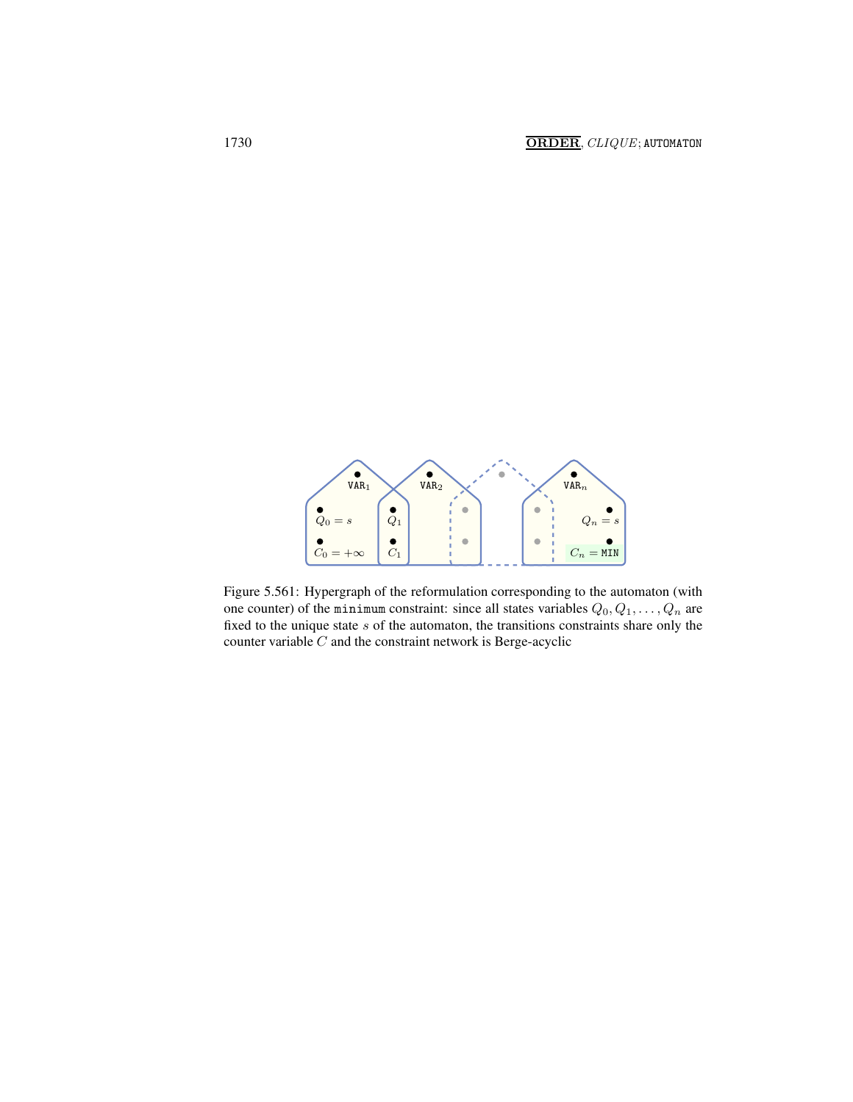

Figure 5.561: Hypergraph of the reformulation corresponding to the automaton (with one counter) of the minimum constraint: since all states variables  $Q_0, Q_1, \ldots, Q_n$  are fixed to the unique state  $s$  of the automaton, the transitions constraints share only the counter variable  $C$  and the constraint network is Berge-acyclic